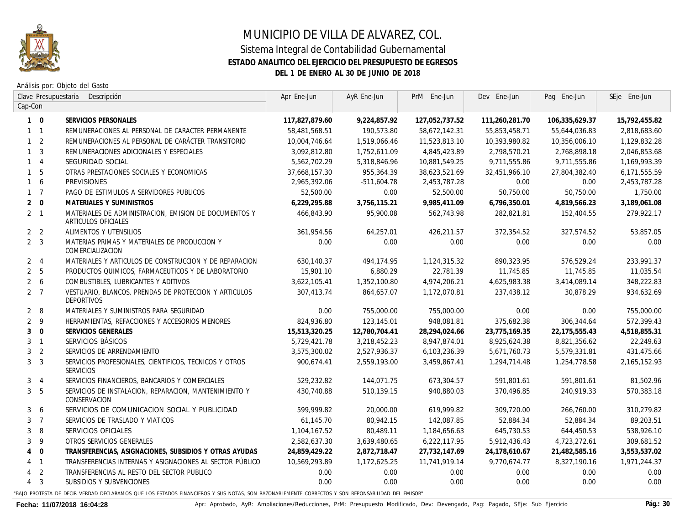

## MUNICIPIO DE VILLA DE ALVAREZ, COL. Sistema Integral de Contabilidad Gubernamental **ESTADO ANALITICO DEL EJERCICIO DEL PRESUPUESTO DE EGRESOS DEL 1 DE ENERO AL 30 DE JUNIO DE 2018**

Análisis por: Objeto del Gasto

| Clave Presupuestaria<br>Descripción |                |                                                                              | Apr Ene-Jun    | AyR Ene-Jun   | PrM Ene-Jun    | Dev Ene-Jun    | Pag Ene-Jun      | SEje Ene-Jun  |
|-------------------------------------|----------------|------------------------------------------------------------------------------|----------------|---------------|----------------|----------------|------------------|---------------|
| Cap-Con                             |                |                                                                              |                |               |                |                |                  |               |
|                                     | $1 \quad 0$    | SERVICIOS PERSONALES                                                         | 117,827,879.60 | 9,224,857.92  | 127,052,737.52 | 111,260,281.70 | 106,335,629.37   | 15,792,455.82 |
|                                     | $1 \quad 1$    | REMUNERACIONES AL PERSONAL DE CARACTER PERMANENTE                            | 58,481,568.51  | 190,573.80    | 58,672,142.31  | 55,853,458.71  | 55,644,036.83    | 2,818,683.60  |
|                                     | 1 <sub>2</sub> | REMUNERACIONES AL PERSONAL DE CARÁCTER TRANSITORIO                           | 10,004,746.64  | 1,519,066.46  | 11,523,813.10  | 10,393,980.82  | 10,356,006.10    | 1,129,832.28  |
|                                     | 1 <sup>3</sup> | REMUNERACIONES ADICIONALES Y ESPECIALES                                      | 3,092,812.80   | 1,752,611.09  | 4,845,423.89   | 2.798.570.21   | 2,768,898.18     | 2,046,853.68  |
|                                     | $1 \quad 4$    | SEGURIDAD SOCIAL                                                             | 5,562,702.29   | 5,318,846.96  | 10,881,549.25  | 9,711,555.86   | 9,711,555.86     | 1,169,993.39  |
|                                     | $1\quad 5$     | OTRAS PRESTACIONES SOCIALES Y ECONOMICAS                                     | 37,668,157.30  | 955,364.39    | 38,623,521.69  | 32,451,966.10  | 27,804,382.40    | 6,171,555.59  |
|                                     | $1\quad 6$     | <b>PREVISIONES</b>                                                           | 2,965,392.06   | -511,604.78   | 2,453,787.28   | 0.00           | 0.00             | 2,453,787.28  |
|                                     | $1 \quad 7$    | PAGO DE ESTIMULOS A SERVIDORES PUBLICOS                                      | 52,500.00      | 0.00          | 52,500.00      | 50,750.00      | 50,750.00        | 1,750.00      |
|                                     | $2 \quad 0$    | MATERIALES Y SUMINISTROS                                                     | 6,229,295.88   | 3,756,115.21  | 9,985,411.09   | 6,796,350.01   | 4,819,566.23     | 3,189,061.08  |
|                                     | $2 \quad 1$    | MATERIALES DE ADMINISTRACION. EMISION DE DOCUMENTOS Y<br>ARTICULOS OFICIALES | 466,843,90     | 95,900.08     | 562,743,98     | 282.821.81     | 152,404.55       | 279,922.17    |
|                                     | 2 <sub>2</sub> | ALIMENTOS Y UTENSILIOS                                                       | 361,954.56     | 64,257.01     | 426,211.57     | 372,354.52     | 327,574.52       | 53,857.05     |
|                                     | 2 <sup>3</sup> | MATERIAS PRIMAS Y MATERIALES DE PRODUCCION Y<br>COMERCIALIZACION             | 0.00           | 0.00          | 0.00           | 0.00           | 0.00             | 0.00          |
|                                     | 2 <sub>1</sub> | MATERIALES Y ARTICULOS DE CONSTRUCCION Y DE REPARACION                       | 630,140,37     | 494,174,95    | 1, 124, 315.32 | 890,323,95     | 576,529.24       | 233.991.37    |
|                                     | 2 <sub>5</sub> | PRODUCTOS QUIMICOS, FARMACEUTICOS Y DE LABORATORIO                           | 15,901.10      | 6,880.29      | 22,781.39      | 11,745.85      | 11,745.85        | 11,035.54     |
|                                     | $2\quad 6$     | COMBUSTIBLES, LUBRICANTES Y ADITIVOS                                         | 3,622,105.41   | 1,352,100.80  | 4,974,206.21   | 4,625,983.38   | 3,414,089.14     | 348,222.83    |
|                                     | 2 <sub>7</sub> | VESTUARIO, BLANCOS, PRENDAS DE PROTECCION Y ARTICULOS<br>DEPORTIVOS          | 307,413.74     | 864,657.07    | 1,172,070.81   | 237,438.12     | 30,878.29        | 934,632.69    |
|                                     | $2 \quad 8$    | MATERIALES Y SUMINISTROS PARA SEGURIDAD                                      | 0.00           | 755,000.00    | 755,000.00     | 0.00           | 0.00             | 755,000.00    |
|                                     | 2 <sup>9</sup> | HERRAMIENTAS, REFACCIONES Y ACCESORIOS MENORES                               | 824,936.80     | 123,145.01    | 948.081.81     | 375,682.38     | 306,344.64       | 572.399.43    |
| 3 <sup>1</sup>                      | $\overline{0}$ | SERVICIOS GENERALES                                                          | 15,513,320.25  | 12,780,704.41 | 28,294,024.66  | 23,775,169.35  | 22, 175, 555. 43 | 4,518,855.31  |
|                                     | 3 <sub>1</sub> | SERVICIOS BÁSICOS                                                            | 5,729,421.78   | 3,218,452.23  | 8,947,874.01   | 8,925,624.38   | 8,821,356.62     | 22,249.63     |
|                                     | 3 <sub>2</sub> | SERVICIOS DE ARRENDAMIENTO                                                   | 3,575,300.02   | 2,527,936.37  | 6,103,236.39   | 5,671,760.73   | 5,579,331.81     | 431,475.66    |
|                                     | 3 <sup>3</sup> | SERVICIOS PROFESIONALES, CIENTIFICOS, TECNICOS Y OTROS<br>SERVICIOS          | 900.674.41     | 2,559,193.00  | 3,459,867.41   | 1,294,714,48   | 1,254,778.58     | 2,165,152.93  |
|                                     | 3 <sub>4</sub> | SERVICIOS FINANCIEROS, BANCARIOS Y COMERCIALES                               | 529,232.82     | 144,071.75    | 673,304.57     | 591,801.61     | 591,801.61       | 81,502.96     |
|                                     | 3 <sub>5</sub> | SERVICIOS DE INSTALACION, REPARACION, MANTENIMIENTO Y<br>CONSERVACION        | 430,740.88     | 510,139.15    | 940,880.03     | 370,496.85     | 240,919.33       | 570,383.18    |
|                                     | 36             | SERVICIOS DE COMUNICACION SOCIAL Y PUBLICIDAD                                | 599,999.82     | 20.000.00     | 619,999.82     | 309,720.00     | 266,760.00       | 310.279.82    |
|                                     | 3 <sub>7</sub> | SERVICIOS DE TRASLADO Y VIATICOS                                             | 61,145.70      | 80,942.15     | 142,087.85     | 52,884.34      | 52.884.34        | 89,203.51     |
| 3                                   | 8              | SERVICIOS OFICIALES                                                          | 1,104,167.52   | 80,489.11     | 1,184,656.63   | 645,730.53     | 644,450.53       | 538,926.10    |
|                                     | 3 <sup>9</sup> | OTROS SERVICIOS GENERALES                                                    | 2,582,637.30   | 3,639,480.65  | 6,222,117.95   | 5,912,436.43   | 4,723,272.61     | 309,681.52    |
|                                     | $4 \quad 0$    | TRANSFERENCIAS, ASIGNACIONES, SUBSIDIOS Y OTRAS AYUDAS                       | 24,859,429.22  | 2,872,718.47  | 27,732,147.69  | 24,178,610.67  | 21,482,585.16    | 3,553,537.02  |
|                                     | $4 \quad 1$    | TRANSFERENCIAS INTERNAS Y ASIGNACIONES AL SECTOR PÚBLICO                     | 10.569.293.89  | 1,172,625.25  | 11.741.919.14  | 9,770,674,77   | 8,327,190,16     | 1,971,244.37  |
|                                     | 4 <sub>2</sub> | TRANSFERENCIAS AL RESTO DEL SECTOR PUBLICO                                   | 0.00           | 0.00          | 0.00           | 0.00           | 0.00             | 0.00          |
|                                     | $4 \quad 3$    | SUBSIDIOS Y SUBVENCIONES                                                     | 0.00           | 0.00          | 0.00           | 0.00           | 0.00             | 0.00          |
|                                     |                |                                                                              |                |               |                |                |                  |               |

"BAJO PROTESTA DE DECIR VERDAD DECLARAMOS QUE LOS ESTADOS FINANCIEROS Y SUS NOTAS, SON RAZONABLEMENTE CORRECTOS Y SON REPONSABILIDAD DEL EMISOR"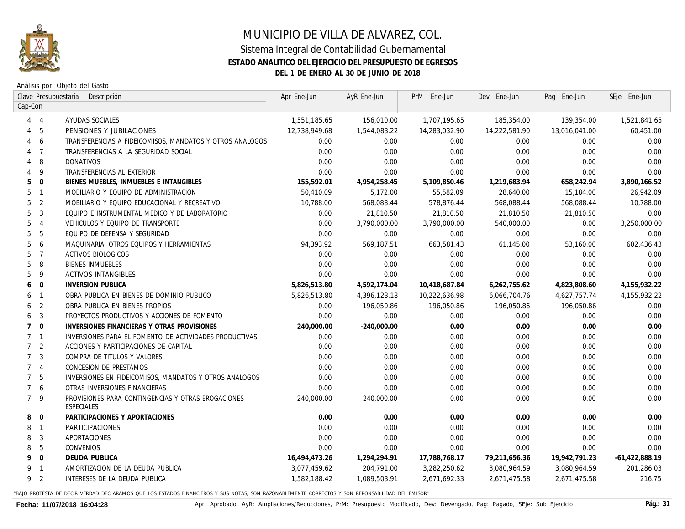

## MUNICIPIO DE VILLA DE ALVAREZ, COL. Sistema Integral de Contabilidad Gubernamental **ESTADO ANALITICO DEL EJERCICIO DEL PRESUPUESTO DE EGRESOS DEL 1 DE ENERO AL 30 DE JUNIO DE 2018**

Análisis por: Objeto del Gasto

| Clave Presupuestaria<br>Descripción |                          |                                                                  | Apr Ene-Jun   | AyR Ene-Jun   | PrM Ene-Jun   | Dev Ene-Jun      | Pag Ene-Jun   | SEje Ene-Jun     |
|-------------------------------------|--------------------------|------------------------------------------------------------------|---------------|---------------|---------------|------------------|---------------|------------------|
|                                     | Cap-Con                  |                                                                  |               |               |               |                  |               |                  |
|                                     | $4 \quad 4$              | AYUDAS SOCIALES                                                  | 1,551,185.65  | 156,010.00    | 1,707,195.65  | 185,354.00       | 139,354.00    | 1,521,841.65     |
| 4                                   | - 5                      | PENSIONES Y JUBILACIONES                                         | 12,738,949.68 | 1,544,083.22  | 14,283,032.90 | 14,222,581.90    | 13,016,041.00 | 60,451.00        |
| 4                                   | - 6                      | TRANSFERENCIAS A FIDEICOMISOS, MANDATOS Y OTROS ANALOGOS         | 0.00          | 0.00          | 0.00          | 0.00             | 0.00          | 0.00             |
|                                     | $4 \overline{7}$         | TRANSFERENCIAS A LA SEGURIDAD SOCIAL                             | 0.00          | 0.00          | 0.00          | 0.00             | 0.00          | 0.00             |
|                                     | 4 8                      | DONATIVOS                                                        | 0.00          | 0.00          | 0.00          | 0.00             | 0.00          | 0.00             |
|                                     | $4\overline{9}$          | TRANSFERENCIAS AL EXTERIOR                                       | 0.00          | 0.00          | 0.00          | 0.00             | 0.00          | 0.00             |
| 5                                   | $\overline{0}$           | BIENES MUEBLES, INMUEBLES E INTANGIBLES                          | 155,592.01    | 4,954,258.45  | 5,109,850.46  | 1,219,683.94     | 658,242.94    | 3,890,166.52     |
|                                     | 5 <sub>1</sub>           | MOBILIARIO Y EQUIPO DE ADMINISTRACION                            | 50,410.09     | 5,172.00      | 55,582.09     | <i>28,640.00</i> | 15,184.00     | 26,942.09        |
|                                     | 5 <sub>2</sub>           | MOBILIARIO Y EQUIPO EDUCACIONAL Y RECREATIVO                     | 10,788.00     | 568,088.44    | 578,876.44    | 568,088.44       | 568,088.44    | 10,788.00        |
| 5                                   | 3                        | EQUIPO E INSTRUMENTAL MEDICO Y DE LABORATORIO                    | 0.00          | 21,810.50     | 21,810.50     | 21,810.50        | 21,810.50     | 0.00             |
| 5                                   | $\overline{4}$           | VEHICULOS Y EQUIPO DE TRANSPORTE                                 | 0.00          | 3,790,000.00  | 3,790,000.00  | 540,000.00       | 0.00          | 3,250,000.00     |
| 5                                   | 5                        | EQUIPO DE DEFENSA Y SEGURIDAD                                    | 0.00          | 0.00          | 0.00          | 0.00             | 0.00          | 0.00             |
| 5                                   | 6                        | MAQUINARIA, OTROS EQUIPOS Y HERRAMIENTAS                         | 94,393.92     | 569,187.51    | 663,581.43    | 61,145.00        | 53,160.00     | 602,436.43       |
| 5                                   | $\overline{7}$           | ACTIVOS BIOLOGICOS                                               | 0.00          | 0.00          | 0.00          | 0.00             | 0.00          | 0.00             |
| 5                                   | 8                        | <b>BIENES INMUEBLES</b>                                          | 0.00          | 0.00          | 0.00          | 0.00             | 0.00          | 0.00             |
| 5                                   | - 9                      | <b>ACTIVOS INTANGIBLES</b>                                       | 0.00          | 0.00          | 0.00          | 0.00             | 0.00          | 0.00             |
| 6                                   | $\overline{\mathbf{0}}$  | <b>INVERSION PUBLICA</b>                                         | 5,826,513.80  | 4,592,174.04  | 10,418,687.84 | 6,262,755.62     | 4,823,808.60  | 4, 155, 932. 22  |
|                                     | 6 1                      | OBRA PUBLICA EN BIENES DE DOMINIO PUBLICO                        | 5,826,513.80  | 4,396,123.18  | 10,222,636.98 | 6,066,704.76     | 4,627,757.74  | 4, 155, 932.22   |
|                                     | 6 <sub>2</sub>           | OBRA PUBLICA EN BIENES PROPIOS                                   | 0.00          | 196,050.86    | 196,050.86    | 196,050.86       | 196,050.86    | 0.00             |
| 6                                   | - 3                      | PROYECTOS PRODUCTIVOS Y ACCIONES DE FOMENTO                      | 0.00          | 0.00          | 0.00          | 0.00             | 0.00          | 0.00             |
|                                     | $7\quad 0$               | INVERSIONES FINANCIERAS Y OTRAS PROVISIONES                      | 240,000.00    | $-240,000.00$ | 0.00          | 0.00             | 0.00          | 0.00             |
|                                     | 7 <sub>1</sub>           | INVERSIONES PARA EL FOMENTO DE ACTIVIDADES PRODUCTIVAS           | 0.00          | 0.00          | 0.00          | 0.00             | 0.00          | 0.00             |
|                                     | 7 <sup>2</sup>           | ACCIONES Y PARTICIPACIONES DE CAPITAL                            | 0.00          | 0.00          | 0.00          | 0.00             | 0.00          | 0.00             |
|                                     | 7 <sup>3</sup>           | COMPRA DE TITULOS Y VALORES                                      | 0.00          | 0.00          | 0.00          | 0.00             | 0.00          | 0.00             |
|                                     | 7 <sub>4</sub>           | CONCESION DE PRESTAMOS                                           | 0.00          | 0.00          | 0.00          | 0.00             | 0.00          | 0.00             |
|                                     | 7 <sub>5</sub>           | INVERSIONES EN FIDEICOMISOS, MANDATOS Y OTROS ANALOGOS           | 0.00          | 0.00          | 0.00          | 0.00             | 0.00          | 0.00             |
|                                     | 7 6                      | OTRAS INVERSIONES FINANCIERAS                                    | 0.00          | 0.00          | 0.00          | 0.00             | 0.00          | 0.00             |
|                                     | 7 <sup>9</sup>           | PROVISIONES PARA CONTINGENCIAS Y OTRAS EROGACIONES<br>ESPECIALES | 240,000.00    | -240,000.00   | 0.00          | 0.00             | 0.00          | 0.00             |
| 8                                   | $\overline{0}$           | PARTICIPACIONES Y APORTACIONES                                   | 0.00          | 0.00          | 0.00          | 0.00             | 0.00          | 0.00             |
|                                     | 8 1                      | PARTICIPACIONES                                                  | 0.00          | 0.00          | 0.00          | 0.00             | 0.00          | 0.00             |
| 8                                   | $\overline{3}$           | APORTACIONES                                                     | 0.00          | 0.00          | 0.00          | 0.00             | 0.00          | 0.00             |
| 8                                   | 5                        | CONVENIOS                                                        | 0.00          | 0.00          | 0.00          | 0.00             | 0.00          | 0.00             |
| 9                                   | $\overline{0}$           | DEUDA PUBLICA                                                    | 16,494,473.26 | 1,294,294.91  | 17,788,768.17 | 79,211,656.36    | 19,942,791.23 | $-61,422,888.19$ |
| 9                                   | $\overline{\phantom{0}}$ | AMORTIZACION DE LA DEUDA PUBLICA                                 | 3,077,459.62  | 204,791.00    | 3,282,250.62  | 3,080,964.59     | 3,080,964.59  | 201,286.03       |
| 9                                   | $\overline{2}$           | INTERESES DE LA DEUDA PUBLICA                                    | 1,582,188,42  | 1,089,503.91  | 2,671,692.33  | 2,671,475.58     | 2,671,475.58  | 216.75           |
|                                     |                          |                                                                  |               |               |               |                  |               |                  |

"BAJO PROTESTA DE DECIR VERDAD DECLARAMOS QUE LOS ESTADOS FINANCIEROS Y SUS NOTAS, SON RAZONABLEMENTE CORRECTOS Y SON REPONSABILIDAD DEL EMISOR"